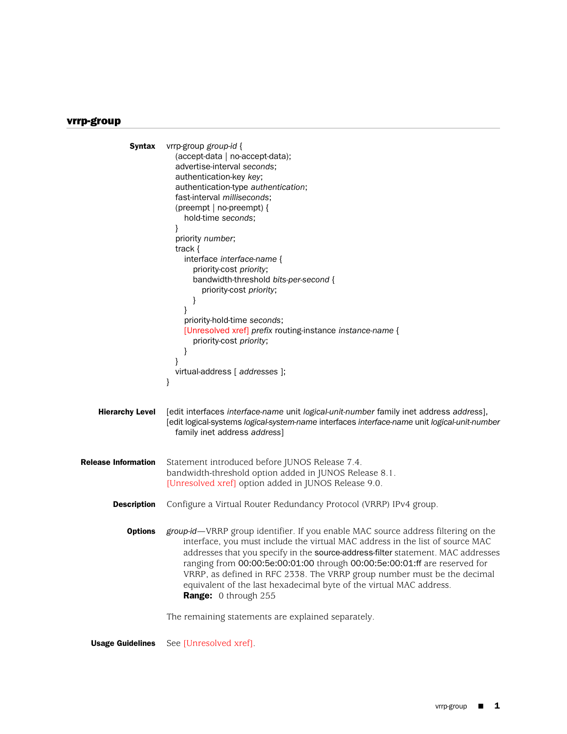## vrrp-group

```
Syntax vrrp-group group-id {
                        (accept-data | no-accept-data);
                        advertise-interval seconds;
                        authentication-key key;
                        authentication-type authentication;
                        fast-interval milliseconds;
                        (preempt | no-preempt) {
                          hold-time seconds;
                        }
                        priority number;
                        track {
                          interface interface-name {
                            priority-cost priority;
                            bandwidth-threshold bits-per-second {
                               priority-cost priority;
                            }
                          }
                          priority-hold-time seconds;
                          [Unresolved xref] prefix routing-instance instance-name {
                            priority-cost priority;
                          }
                        }
                        virtual-address [ addresses ];
                      }
    Hierarchy Level [edit interfaces interface-name unit logical-unit-number family inet address address],
                      [edit logical-systems logical-system-name interfaces interface-name unit logical-unit-number
                        family inet address address]
Release Information Statement introduced before JUNOS Release 7.4.
                      bandwidth-threshold option added in JUNOS Release 8.1.
                      [Unresolved xref] option added in JUNOS Release 9.0.
        Description Configure a Virtual Router Redundancy Protocol (VRRP) IPv4 group.
           Options group-id—VRRP group identifier. If you enable MAC source address filtering on the
                          interface, you must include the virtual MAC address in the list of source MAC
                          addresses that you specify in the source-address-filter statement. MAC addresses
                          ranging from 00:00:5e:00:01:00 through 00:00:5e:00:01:ff are reserved for
                          VRRP, as defined in RFC 2338. The VRRP group number must be the decimal
                          equivalent of the last hexadecimal byte of the virtual MAC address.
                          Range: 0 through 255
                      The remaining statements are explained separately.
```
Usage Guidelines See [Unresolved xref].